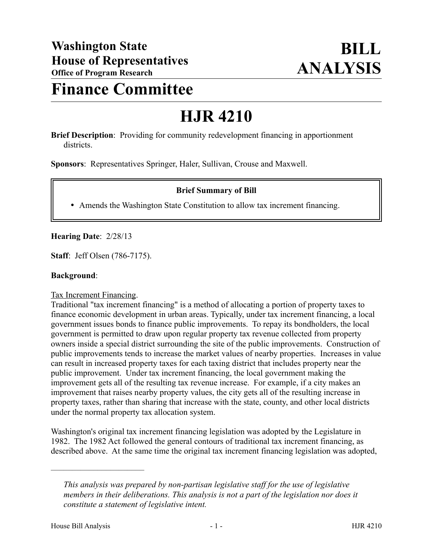# **Finance Committee**

# **HJR 4210**

**Brief Description**: Providing for community redevelopment financing in apportionment districts.

**Sponsors**: Representatives Springer, Haler, Sullivan, Crouse and Maxwell.

# **Brief Summary of Bill**

Amends the Washington State Constitution to allow tax increment financing.

**Hearing Date**: 2/28/13

**Staff**: Jeff Olsen (786-7175).

#### **Background**:

#### Tax Increment Financing.

Traditional "tax increment financing" is a method of allocating a portion of property taxes to finance economic development in urban areas. Typically, under tax increment financing, a local government issues bonds to finance public improvements. To repay its bondholders, the local government is permitted to draw upon regular property tax revenue collected from property owners inside a special district surrounding the site of the public improvements. Construction of public improvements tends to increase the market values of nearby properties. Increases in value can result in increased property taxes for each taxing district that includes property near the public improvement. Under tax increment financing, the local government making the improvement gets all of the resulting tax revenue increase. For example, if a city makes an improvement that raises nearby property values, the city gets all of the resulting increase in property taxes, rather than sharing that increase with the state, county, and other local districts under the normal property tax allocation system.

Washington's original tax increment financing legislation was adopted by the Legislature in 1982. The 1982 Act followed the general contours of traditional tax increment financing, as described above. At the same time the original tax increment financing legislation was adopted,

––––––––––––––––––––––

*This analysis was prepared by non-partisan legislative staff for the use of legislative members in their deliberations. This analysis is not a part of the legislation nor does it constitute a statement of legislative intent.*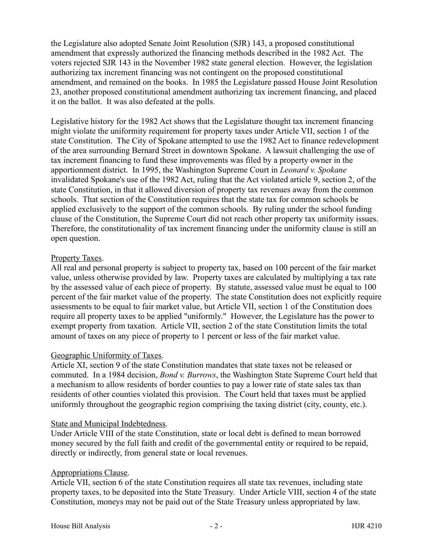the Legislature also adopted Senate Joint Resolution (SJR) 143, a proposed constitutional amendment that expressly authorized the financing methods described in the 1982 Act. The voters rejected SJR 143 in the November 1982 state general election. However, the legislation authorizing tax increment financing was not contingent on the proposed constitutional amendment, and remained on the books. In 1985 the Legislature passed House Joint Resolution 23, another proposed constitutional amendment authorizing tax increment financing, and placed it on the ballot. It was also defeated at the polls.

Legislative history for the 1982 Act shows that the Legislature thought tax increment financing might violate the uniformity requirement for property taxes under Article VII, section 1 of the state Constitution. The City of Spokane attempted to use the 1982 Act to finance redevelopment of the area surrounding Bernard Street in downtown Spokane. A lawsuit challenging the use of tax increment financing to fund these improvements was filed by a property owner in the apportionment district. In 1995, the Washington Supreme Court in *Leonard v. Spokane*  invalidated Spokane's use of the 1982 Act, ruling that the Act violated article 9, section 2, of the state Constitution, in that it allowed diversion of property tax revenues away from the common schools. That section of the Constitution requires that the state tax for common schools be applied exclusively to the support of the common schools. By ruling under the school funding clause of the Constitution, the Supreme Court did not reach other property tax uniformity issues. Therefore, the constitutionality of tax increment financing under the uniformity clause is still an open question.

#### Property Taxes.

All real and personal property is subject to property tax, based on 100 percent of the fair market value, unless otherwise provided by law. Property taxes are calculated by multiplying a tax rate by the assessed value of each piece of property. By statute, assessed value must be equal to 100 percent of the fair market value of the property. The state Constitution does not explicitly require assessments to be equal to fair market value, but Article VII, section 1 of the Constitution does require all property taxes to be applied "uniformly." However, the Legislature has the power to exempt property from taxation. Article VII, section 2 of the state Constitution limits the total amount of taxes on any piece of property to 1 percent or less of the fair market value.

# Geographic Uniformity of Taxes.

Article XI, section 9 of the state Constitution mandates that state taxes not be released or commuted. In a 1984 decision, *Bond v. Burrows*, the Washington State Supreme Court held that a mechanism to allow residents of border counties to pay a lower rate of state sales tax than residents of other counties violated this provision. The Court held that taxes must be applied uniformly throughout the geographic region comprising the taxing district (city, county, etc.).

#### State and Municipal Indebtedness.

Under Article VIII of the state Constitution, state or local debt is defined to mean borrowed money secured by the full faith and credit of the governmental entity or required to be repaid, directly or indirectly, from general state or local revenues.

# Appropriations Clause.

Article VII, section 6 of the state Constitution requires all state tax revenues, including state property taxes, to be deposited into the State Treasury. Under Article VIII, section 4 of the state Constitution, moneys may not be paid out of the State Treasury unless appropriated by law.